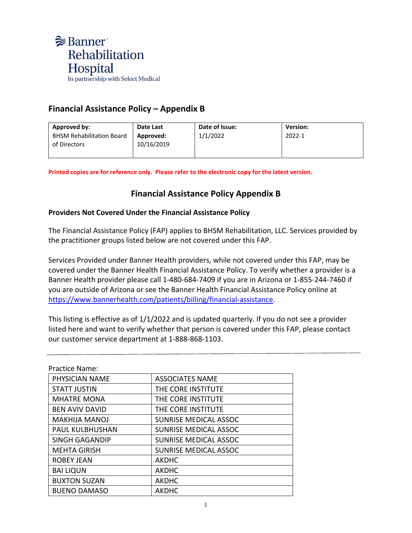

## **Financial Assistance Policy – Appendix B**

| Approved by:                     | Date Last  | Date of Issue: | <b>Version:</b> |
|----------------------------------|------------|----------------|-----------------|
| <b>BHSM Rehabilitation Board</b> | Approved:  | 1/1/2022       | 2022-1          |
| of Directors                     | 10/16/2019 |                |                 |
|                                  |            |                |                 |

**Printed copies are for reference only. Please refer to the electronic copy for the latest version.**

## **Financial Assistance Policy Appendix B**

## **Providers Not Covered Under the Financial Assistance Policy**

The Financial Assistance Policy (FAP) applies to BHSM Rehabilitation, LLC. Services provided by the practitioner groups listed below are not covered under this FAP.

Services Provided under Banner Health providers, while not covered under this FAP, may be covered under the Banner Health Financial Assistance Policy. To verify whether a provider is a Banner Health provider please call 1-480-684-7409 if you are in Arizona or 1-855-244-7460 if you are outside of Arizona or see the Banner Health Financial Assistance Policy online at [https://www.bannerhealth.com/patients/billing/financial-assistance.](https://www.bannerhealth.com/patients/billing/financial-assistance)

This listing is effective as of 1/1/2022 and is updated quarterly. If you do not see a provider listed here and want to verify whether that person is covered under this FAP, please contact our customer service department at 1-888-868-1103.

Practice Name:

| PHYSICIAN NAME         | <b>ASSOCIATES NAME</b>       |
|------------------------|------------------------------|
| <b>STATT JUSTIN</b>    | THE CORE INSTITUTE           |
| <b>MHATRE MONA</b>     | THE CORE INSTITUTE           |
| <b>BEN AVIV DAVID</b>  | THE CORE INSTITUTE           |
| <b>MAKHIJA MANOJ</b>   | <b>SUNRISE MEDICAL ASSOC</b> |
| <b>PAUL KULBHUSHAN</b> | <b>SUNRISE MEDICAL ASSOC</b> |
| <b>SINGH GAGANDIP</b>  | <b>SUNRISE MEDICAL ASSOC</b> |
| <b>MEHTA GIRISH</b>    | SUNRISE MEDICAL ASSOC        |
| <b>ROBEY JEAN</b>      | <b>AKDHC</b>                 |
| <b>BAI LIQUN</b>       | <b>AKDHC</b>                 |
| <b>BUXTON SUZAN</b>    | <b>AKDHC</b>                 |
| <b>BUENO DAMASO</b>    | <b>AKDHC</b>                 |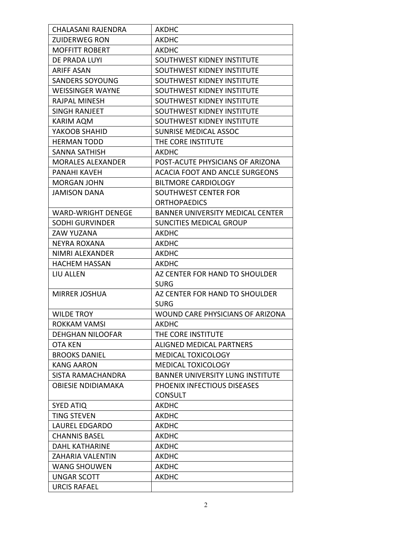| <b>CHALASANI RAJENDRA</b> | <b>AKDHC</b>                            |
|---------------------------|-----------------------------------------|
| <b>ZUIDERWEG RON</b>      | AKDHC                                   |
| <b>MOFFITT ROBERT</b>     | <b>AKDHC</b>                            |
| DE PRADA LUYI             | SOUTHWEST KIDNEY INSTITUTE              |
| <b>ARIFF ASAN</b>         | SOUTHWEST KIDNEY INSTITUTE              |
| <b>SANDERS SOYOUNG</b>    | SOUTHWEST KIDNEY INSTITUTE              |
| <b>WEISSINGER WAYNE</b>   | SOUTHWEST KIDNEY INSTITUTE              |
| <b>RAJPAL MINESH</b>      | SOUTHWEST KIDNEY INSTITUTE              |
| SINGH RANJEET             | SOUTHWEST KIDNEY INSTITUTE              |
| <b>KARIM AQM</b>          | SOUTHWEST KIDNEY INSTITUTE              |
| YAKOOB SHAHID             | <b>SUNRISE MEDICAL ASSOC</b>            |
| <b>HERMAN TODD</b>        | THE CORE INSTITUTE                      |
| SANNA SATHISH             | AKDHC                                   |
| <b>MORALES ALEXANDER</b>  | POST-ACUTE PHYSICIANS OF ARIZONA        |
| PANAHI KAVEH              | <b>ACACIA FOOT AND ANCLE SURGEONS</b>   |
| <b>MORGAN JOHN</b>        | <b>BILTMORE CARDIOLOGY</b>              |
| <b>JAMISON DANA</b>       | SOUTHWEST CENTER FOR                    |
|                           | <b>ORTHOPAEDICS</b>                     |
| <b>WARD-WRIGHT DENEGE</b> | <b>BANNER UNIVERSITY MEDICAL CENTER</b> |
| <b>SODHI GURVINDER</b>    | <b>SUNCITIES MEDICAL GROUP</b>          |
| ZAW YUZANA                | <b>AKDHC</b>                            |
| <b>NEYRA ROXANA</b>       | <b>AKDHC</b>                            |
| NIMRI ALEXANDER           | <b>AKDHC</b>                            |
| <b>HACHEM HASSAN</b>      | <b>AKDHC</b>                            |
| LIU ALLEN                 | AZ CENTER FOR HAND TO SHOULDER          |
|                           | <b>SURG</b>                             |
| <b>MIRRER JOSHUA</b>      | AZ CENTER FOR HAND TO SHOULDER          |
|                           | <b>SURG</b>                             |
| <b>WILDE TROY</b>         | WOUND CARE PHYSICIANS OF ARIZONA        |
| ROKKAM VAMSI              | <b>AKDHC</b>                            |
| <b>DEHGHAN NILOOFAR</b>   | THE CORE INSTITUTE                      |
| OTA KEN                   | ALIGNED MEDICAL PARTNERS                |
| <b>BROOKS DANIEL</b>      | <b>MEDICAL TOXICOLOGY</b>               |
| <b>KANG AARON</b>         | <b>MEDICAL TOXICOLOGY</b>               |
| SISTA RAMACHANDRA         | <b>BANNER UNIVERSITY LUNG INSTITUTE</b> |
| <b>OBIESIE NDIDIAMAKA</b> | PHOENIX INFECTIOUS DISEASES             |
|                           | <b>CONSULT</b>                          |
| <b>SYED ATIQ</b>          | <b>AKDHC</b>                            |
| <b>TING STEVEN</b>        | <b>AKDHC</b>                            |
| <b>LAUREL EDGARDO</b>     | <b>AKDHC</b>                            |
| <b>CHANNIS BASEL</b>      | <b>AKDHC</b>                            |
| <b>DAHL KATHARINE</b>     | <b>AKDHC</b>                            |
| ZAHARIA VALENTIN          | <b>AKDHC</b>                            |
| <b>WANG SHOUWEN</b>       | <b>AKDHC</b>                            |
|                           |                                         |
| <b>UNGAR SCOTT</b>        | <b>AKDHC</b>                            |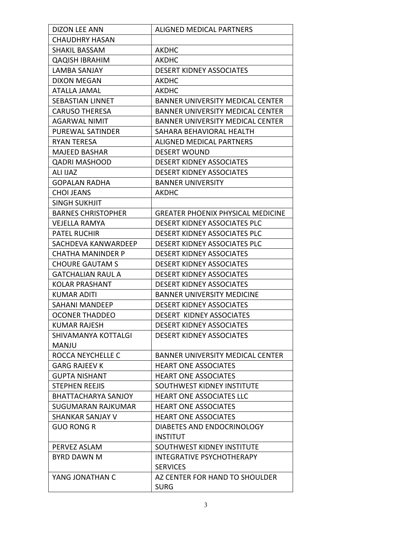| <b>DIZON LEE ANN</b>      | ALIGNED MEDICAL PARTNERS                 |
|---------------------------|------------------------------------------|
| <b>CHAUDHRY HASAN</b>     |                                          |
| <b>SHAKIL BASSAM</b>      | <b>AKDHC</b>                             |
| <b>QAQISH IBRAHIM</b>     | AKDHC                                    |
| <b>LAMBA SANJAY</b>       | <b>DESERT KIDNEY ASSOCIATES</b>          |
| <b>DIXON MEGAN</b>        | <b>AKDHC</b>                             |
| <b>ATALLA JAMAL</b>       | <b>AKDHC</b>                             |
| <b>SEBASTIAN LINNET</b>   | <b>BANNER UNIVERSITY MEDICAL CENTER</b>  |
| <b>CARUSO THERESA</b>     | <b>BANNER UNIVERSITY MEDICAL CENTER</b>  |
| <b>AGARWAL NIMIT</b>      | <b>BANNER UNIVERSITY MEDICAL CENTER</b>  |
| <b>PUREWAL SATINDER</b>   | SAHARA BEHAVIORAL HEALTH                 |
| <b>RYAN TERESA</b>        | <b>ALIGNED MEDICAL PARTNERS</b>          |
| <b>MAJEED BASHAR</b>      | <b>DESERT WOUND</b>                      |
| <b>QADRI MASHOOD</b>      | <b>DESERT KIDNEY ASSOCIATES</b>          |
| <b>ALI IJAZ</b>           | <b>DESERT KIDNEY ASSOCIATES</b>          |
| <b>GOPALAN RADHA</b>      | <b>BANNER UNIVERSITY</b>                 |
| <b>CHOI JEANS</b>         | <b>AKDHC</b>                             |
| <b>SINGH SUKHJIT</b>      |                                          |
| <b>BARNES CHRISTOPHER</b> | <b>GREATER PHOENIX PHYSICAL MEDICINE</b> |
| <b>VEJELLA RAMYA</b>      | <b>DESERT KIDNEY ASSOCIATES PLC</b>      |
| <b>PATEL RUCHIR</b>       | <b>DESERT KIDNEY ASSOCIATES PLC</b>      |
| SACHDEVA KANWARDEEP       | <b>DESERT KIDNEY ASSOCIATES PLC</b>      |
| CHATHA MANINDER P         | <b>DESERT KIDNEY ASSOCIATES</b>          |
| <b>CHOURE GAUTAM S</b>    | <b>DESERT KIDNEY ASSOCIATES</b>          |
| <b>GATCHALIAN RAUL A</b>  | <b>DESERT KIDNEY ASSOCIATES</b>          |
| <b>KOLAR PRASHANT</b>     | <b>DESERT KIDNEY ASSOCIATES</b>          |
| KUMAR ADITI               | <b>BANNER UNIVERSITY MEDICINE</b>        |
| <b>SAHANI MANDEEP</b>     | <b>DESERT KIDNEY ASSOCIATES</b>          |
| <b>OCONER THADDEO</b>     | DESERT KIDNEY ASSOCIATES                 |
| <b>KUMAR RAJESH</b>       | <b>DESERT KIDNEY ASSOCIATES</b>          |
| SHIVAMANYA KOTTALGI       | <b>DESERT KIDNEY ASSOCIATES</b>          |
| <b>MANJU</b>              |                                          |
| ROCCA NEYCHELLE C         | <b>BANNER UNIVERSITY MEDICAL CENTER</b>  |
| <b>GARG RAJEEV K</b>      | <b>HEART ONE ASSOCIATES</b>              |
| <b>GUPTA NISHANT</b>      | <b>HEART ONE ASSOCIATES</b>              |
| <b>STEPHEN REEJIS</b>     | SOUTHWEST KIDNEY INSTITUTE               |
| BHATTACHARYA SANJOY       | HEART ONE ASSOCIATES LLC                 |
| SUGUMARAN RAJKUMAR        | <b>HEART ONE ASSOCIATES</b>              |
| <b>SHANKAR SANJAY V</b>   | <b>HEART ONE ASSOCIATES</b>              |
| <b>GUO RONG R</b>         | DIABETES AND ENDOCRINOLOGY               |
|                           | <b>INSTITUT</b>                          |
| PERVEZ ASLAM              | SOUTHWEST KIDNEY INSTITUTE               |
| <b>BYRD DAWN M</b>        | <b>INTEGRATIVE PSYCHOTHERAPY</b>         |
|                           | <b>SERVICES</b>                          |
| YANG JONATHAN C           | AZ CENTER FOR HAND TO SHOULDER           |
|                           | <b>SURG</b>                              |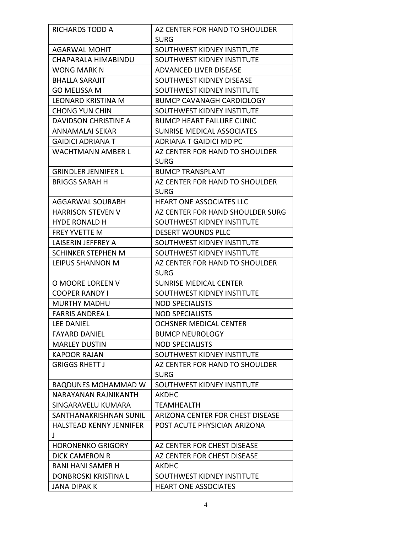| <b>RICHARDS TODD A</b>      | AZ CENTER FOR HAND TO SHOULDER    |
|-----------------------------|-----------------------------------|
|                             | <b>SURG</b>                       |
| <b>AGARWAL MOHIT</b>        | SOUTHWEST KIDNEY INSTITUTE        |
| CHAPARALA HIMABINDU         | SOUTHWEST KIDNEY INSTITUTE        |
| <b>WONG MARK N</b>          | <b>ADVANCED LIVER DISEASE</b>     |
| <b>BHALLA SARAJIT</b>       | SOUTHWEST KIDNEY DISEASE          |
| <b>GO MELISSA M</b>         | SOUTHWEST KIDNEY INSTITUTE        |
| <b>LEONARD KRISTINA M</b>   | <b>BUMCP CAVANAGH CARDIOLOGY</b>  |
| <b>CHONG YUN CHIN</b>       | SOUTHWEST KIDNEY INSTITUTE        |
| <b>DAVIDSON CHRISTINE A</b> | <b>BUMCP HEART FAILURE CLINIC</b> |
| ANNAMALAI SEKAR             | <b>SUNRISE MEDICAL ASSOCIATES</b> |
| <b>GAIDICI ADRIANA T</b>    | ADRIANA T GAIDICI MD PC           |
| <b>WACHTMANN AMBER L</b>    | AZ CENTER FOR HAND TO SHOULDER    |
|                             | <b>SURG</b>                       |
| <b>GRINDLER JENNIFER L</b>  | <b>BUMCP TRANSPLANT</b>           |
| <b>BRIGGS SARAH H</b>       | AZ CENTER FOR HAND TO SHOULDER    |
|                             | <b>SURG</b>                       |
| <b>AGGARWAL SOURABH</b>     | <b>HEART ONE ASSOCIATES LLC</b>   |
| <b>HARRISON STEVEN V</b>    | AZ CENTER FOR HAND SHOULDER SURG  |
| <b>HYDE RONALD H</b>        | SOUTHWEST KIDNEY INSTITUTE        |
| <b>FREY YVETTE M</b>        | <b>DESERT WOUNDS PLLC</b>         |
| LAISERIN JEFFREY A          | SOUTHWEST KIDNEY INSTITUTE        |
| <b>SCHINKER STEPHEN M</b>   | SOUTHWEST KIDNEY INSTITUTE        |
| LEIPUS SHANNON M            | AZ CENTER FOR HAND TO SHOULDER    |
|                             | <b>SURG</b>                       |
| O MOORE LOREEN V            | <b>SUNRISE MEDICAL CENTER</b>     |
| <b>COOPER RANDY I</b>       | SOUTHWEST KIDNEY INSTITUTE        |
| <b>MURTHY MADHU</b>         | <b>NOD SPECIALISTS</b>            |
| <b>FARRIS ANDREA L</b>      | <b>NOD SPECIALISTS</b>            |
| LEE DANIEL                  | OCHSNER MEDICAL CENTER            |
| FAYARD DANIEL               | <b>BUMCP NEUROLOGY</b>            |
| <b>MARLEY DUSTIN</b>        | <b>NOD SPECIALISTS</b>            |
| <b>KAPOOR RAJAN</b>         | SOUTHWEST KIDNEY INSTITUTE        |
| <b>GRIGGS RHETT J</b>       | AZ CENTER FOR HAND TO SHOULDER    |
|                             | <b>SURG</b>                       |
| <b>BAQDUNES MOHAMMAD W</b>  | SOUTHWEST KIDNEY INSTITUTE        |
| NARAYANAN RAJNIKANTH        | AKDHC                             |
| SINGARAVELU KUMARA          | TEAMHEALTH                        |
| SANTHANAKRISHNAN SUNIL      | ARIZONA CENTER FOR CHEST DISEASE  |
| HALSTEAD KENNY JENNIFER     | POST ACUTE PHYSICIAN ARIZONA      |
| J                           |                                   |
| <b>HORONENKO GRIGORY</b>    | AZ CENTER FOR CHEST DISEASE       |
| DICK CAMERON R              | AZ CENTER FOR CHEST DISEASE       |
| <b>BANI HANI SAMER H</b>    | AKDHC                             |
| DONBROSKI KRISTINA L        | SOUTHWEST KIDNEY INSTITUTE        |
| JANA DIPAK K                | <b>HEART ONE ASSOCIATES</b>       |